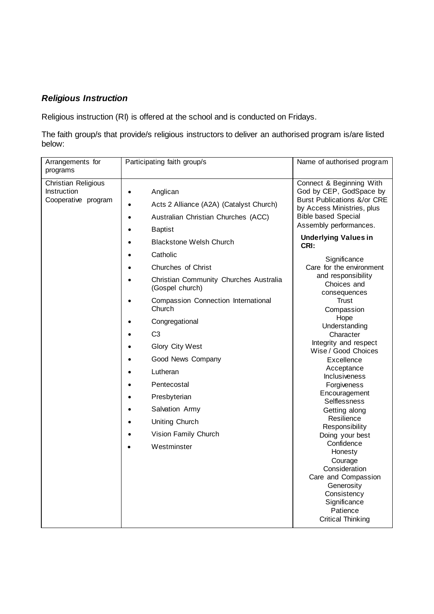## *Religious Instruction*

Religious instruction (RI) is offered at the school and is conducted on Fridays.

The faith group/s that provide/s religious instructors to deliver an authorised program is/are listed below:

| Arrangements for<br>programs                              | Participating faith group/s                                                                                                                                                           | Name of authorised program                                                                                                                                                                                                                                                                                                                                                                                                                                                                                                                                                  |
|-----------------------------------------------------------|---------------------------------------------------------------------------------------------------------------------------------------------------------------------------------------|-----------------------------------------------------------------------------------------------------------------------------------------------------------------------------------------------------------------------------------------------------------------------------------------------------------------------------------------------------------------------------------------------------------------------------------------------------------------------------------------------------------------------------------------------------------------------------|
| Christian Religious<br>Instruction<br>Cooperative program | Anglican<br>$\bullet$<br>Acts 2 Alliance (A2A) (Catalyst Church)<br>$\bullet$<br>Australian Christian Churches (ACC)<br>$\bullet$<br><b>Baptist</b><br><b>Blackstone Welsh Church</b> | Connect & Beginning With<br>God by CEP, GodSpace by<br><b>Burst Publications &amp;/or CRE</b><br>by Access Ministries, plus<br><b>Bible based Special</b><br>Assembly performances.<br><b>Underlying Values in</b><br>CRI:<br>Significance<br>Care for the environment<br>and responsibility<br>Choices and<br>consequences<br>Trust<br>Compassion<br>Hope<br>Understanding<br>Character<br>Integrity and respect<br>Wise / Good Choices<br>Excellence<br>Acceptance<br><b>Inclusiveness</b><br>Forgiveness<br>Encouragement<br>Selflessness<br>Getting along<br>Resilience |
|                                                           | Catholic                                                                                                                                                                              |                                                                                                                                                                                                                                                                                                                                                                                                                                                                                                                                                                             |
|                                                           | Churches of Christ<br>Christian Community Churches Australia<br>(Gospel church)                                                                                                       |                                                                                                                                                                                                                                                                                                                                                                                                                                                                                                                                                                             |
|                                                           | Compassion Connection International<br>$\bullet$<br>Church                                                                                                                            |                                                                                                                                                                                                                                                                                                                                                                                                                                                                                                                                                                             |
|                                                           | Congregational<br>C <sub>3</sub>                                                                                                                                                      |                                                                                                                                                                                                                                                                                                                                                                                                                                                                                                                                                                             |
|                                                           | Glory City West<br>Good News Company                                                                                                                                                  |                                                                                                                                                                                                                                                                                                                                                                                                                                                                                                                                                                             |
|                                                           | Lutheran                                                                                                                                                                              |                                                                                                                                                                                                                                                                                                                                                                                                                                                                                                                                                                             |
|                                                           | Pentecostal<br>Presbyterian                                                                                                                                                           |                                                                                                                                                                                                                                                                                                                                                                                                                                                                                                                                                                             |
|                                                           | Salvation Army<br><b>Uniting Church</b>                                                                                                                                               |                                                                                                                                                                                                                                                                                                                                                                                                                                                                                                                                                                             |
|                                                           | Responsibility<br>Vision Family Church<br>Doing your best<br>Confidence<br>Westminster                                                                                                |                                                                                                                                                                                                                                                                                                                                                                                                                                                                                                                                                                             |
|                                                           |                                                                                                                                                                                       | Honesty<br>Courage<br>Consideration<br>Care and Compassion<br>Generosity<br>Consistency<br>Significance<br>Patience<br><b>Critical Thinking</b>                                                                                                                                                                                                                                                                                                                                                                                                                             |